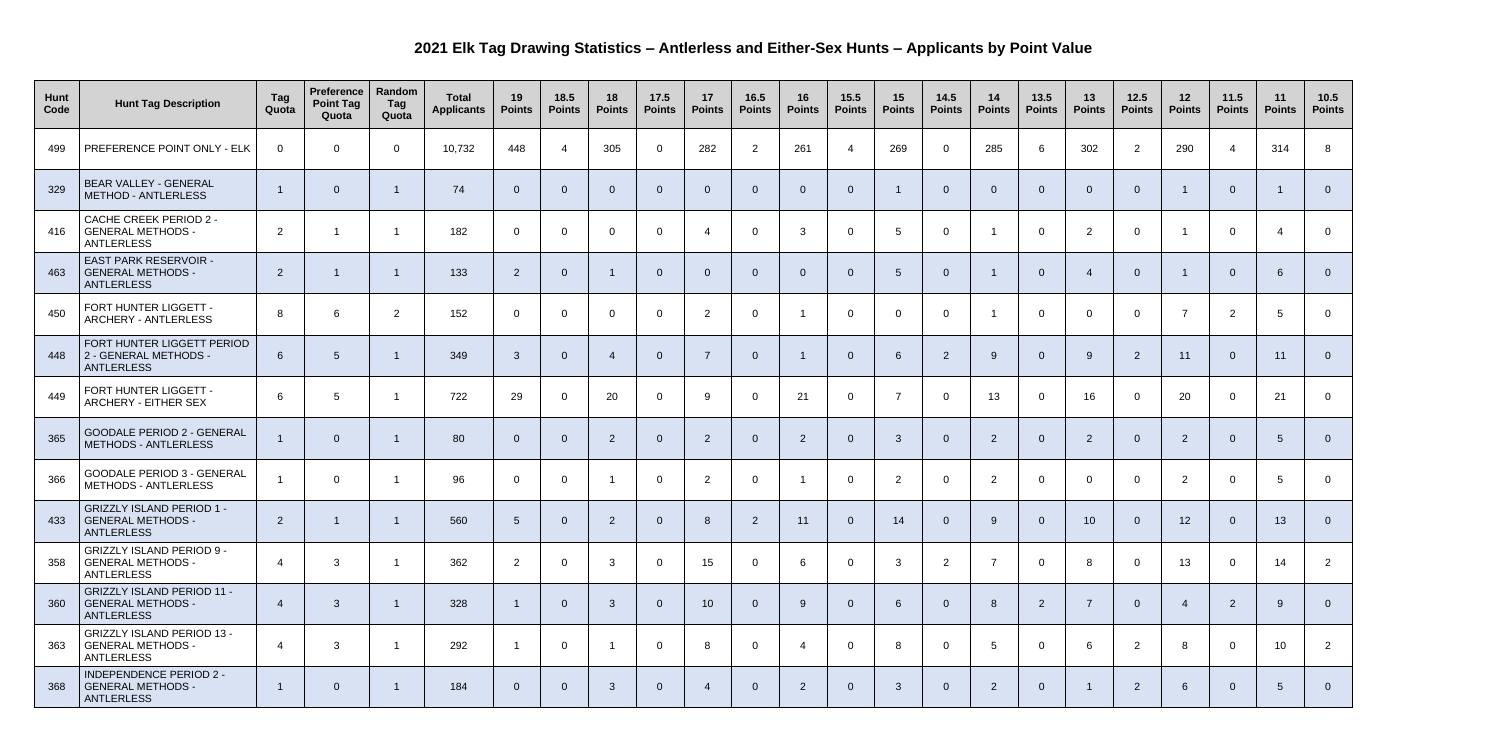## **2021 Elk Tag Drawing Statistics – Antlerless and Either-Sex Hunts – Applicants by Point Value**

| Hunt<br>Code | <b>Hunt Tag Description</b>                                                        | Tag<br>Quota     | <b>Preference</b><br><b>Point Tag</b><br>Quota | Random<br>Tag<br>Quota | <b>Total</b><br><b>Applicants</b> | 19<br><b>Points</b> | 18.5<br><b>Points</b> | 18<br><b>Points</b>         | 17.5<br><b>Points</b> | 17<br><b>Points</b> | 16.5<br><b>Points</b> | 16<br><b>Points</b> | 15.5<br><b>Points</b> | 15<br><b>Points</b> | 14.5<br><b>Points</b> | 14<br><b>Points</b> | 13.5<br><b>Points</b> | 13<br><b>Points</b> | $12.5$<br><b>Points</b> | 12<br><b>Points</b> | 11.5<br><b>Points</b> | 11<br><b>Points</b> | $10.5$<br><b>Points</b> |
|--------------|------------------------------------------------------------------------------------|------------------|------------------------------------------------|------------------------|-----------------------------------|---------------------|-----------------------|-----------------------------|-----------------------|---------------------|-----------------------|---------------------|-----------------------|---------------------|-----------------------|---------------------|-----------------------|---------------------|-------------------------|---------------------|-----------------------|---------------------|-------------------------|
| 499          | PREFERENCE POINT ONLY - ELK                                                        | $\Omega$         | $\overline{0}$                                 | $\overline{0}$         | 10,732                            | 448                 | $\overline{4}$        | 305                         | $\overline{0}$        | 282                 | 2                     | 261                 | $\overline{4}$        | 269                 | $\overline{0}$        | 285                 | $6\phantom{1}$        | 302                 | 2                       | 290                 | $\overline{4}$        | 314                 | 8                       |
| 329          | BEAR VALLEY - GENERAL<br><b>METHOD - ANTLERLESS</b>                                |                  | $\overline{0}$                                 |                        | 74                                | $\overline{0}$      | $\overline{0}$        | $\overline{0}$              | $\Omega$              | $\overline{0}$      | 0                     | - 0                 | $\overline{0}$        |                     | $\Omega$              | $\overline{0}$      | $\overline{0}$        | $\overline{0}$      | $\Omega$                |                     | $\overline{0}$        |                     | $\Omega$                |
| 416          | <b>CACHE CREEK PERIOD 2 -</b><br><b>GENERAL METHODS -</b><br><b>ANTLERLESS</b>     | $\overline{2}$   |                                                |                        | 182                               | $\overline{0}$      | $\overline{0}$        | $\Omega$                    | $\Omega$              | $\overline{4}$      | $\Omega$              | -3                  | $\mathsf{O}$          | 5                   | $\Omega$              |                     | $\overline{0}$        | 2                   | $\Omega$                |                     | $\overline{0}$        |                     | $\overline{0}$          |
| 463          | <b>EAST PARK RESERVOIR -</b><br><b>GENERAL METHODS -</b><br><b>ANTLERLESS</b>      | $\overline{2}$   |                                                |                        | 133                               | $\overline{2}$      | $\overline{0}$        |                             | $\overline{0}$        | $\overline{0}$      | 0                     |                     | $\Omega$              | $5\overline{)}$     | $\overline{0}$        |                     | $\overline{0}$        |                     | $\Omega$                |                     | $\overline{0}$        | 6                   | $\overline{0}$          |
| 450          | FORT HUNTER LIGGETT -<br><b>ARCHERY - ANTLERLESS</b>                               | 8                | 6                                              | $\overline{2}$         | 152                               | $\overline{0}$      | $\overline{0}$        | $\Omega$                    | $\Omega$              | $\overline{2}$      | $\Omega$              |                     | $\overline{0}$        | $\overline{0}$      | $\Omega$              | - 1                 | $\overline{0}$        | $\Omega$            | $\Omega$                | 7                   | $\overline{2}$        | .5                  | $\overline{0}$          |
| 448          | FORT HUNTER LIGGETT PERIOD<br>2 - GENERAL METHODS -<br><b>ANTLERLESS</b>           | 6                | $\overline{5}$                                 |                        | 349                               | 3                   | $\overline{0}$        | $\boldsymbol{\vartriangle}$ | $\Omega$              | $\overline{7}$      | 0                     |                     | $\Omega$              | 6                   | $\overline{2}$        | 9                   | $\overline{0}$        | -9                  | $\overline{2}$          | 11                  | $\overline{0}$        | 11                  | $\overline{0}$          |
| 449          | FORT HUNTER LIGGETT -<br>ARCHERY - EITHER SEX                                      | 6                | 5                                              |                        | 722                               | 29                  | $\overline{0}$        | 20                          | $\Omega$              | 9                   | $\Omega$              | 21                  | $\mathsf{O}$          | $\overline{7}$      | $\Omega$              | 13                  | $\overline{0}$        | 16                  | - റ                     | 20                  | $\overline{0}$        | 21                  | $\overline{0}$          |
| 365          | <b>GOODALE PERIOD 2 - GENERAL</b><br><b>METHODS - ANTLERLESS</b>                   |                  | $\Omega$                                       |                        | 80                                | $\Omega$            | $\overline{0}$        | $\overline{2}$              | $\mathcal{C}$         | $\overline{2}$      | 0                     | $\overline{2}$      | $\Omega$              | $\mathbf{3}$        | $\Omega$              | $\overline{2}$      | $\overline{0}$        | $\overline{2}$      | $\Omega$                | $\overline{2}$      | $\overline{0}$        | $5\overline{)}$     | $\overline{0}$          |
| 366          | <b>GOODALE PERIOD 3 - GENERAL</b><br><b>METHODS - ANTLERLESS</b>                   |                  | $\mathbf 0$                                    |                        | 96                                | $\overline{0}$      | $\overline{0}$        |                             | $\Omega$              | $\overline{2}$      | $\mathbf 0$           |                     | $\mathsf{O}$          | 2                   | $\Omega$              | $\overline{2}$      | $\overline{0}$        | $\overline{0}$      | $\overline{0}$          | $\overline{2}$      | $\overline{0}$        | 5                   | $\overline{0}$          |
| 433          | <b>GRIZZLY ISLAND PERIOD 1 -</b><br><b>GENERAL METHODS -</b><br><b>ANTLERLESS</b>  | $\overline{2}$   |                                                | -1                     | 560                               | $5\overline{)}$     | $\overline{0}$        | $\overline{2}$              | $\overline{0}$        | 8                   | $\overline{2}$        | 11                  | $\overline{0}$        | 14                  | $\overline{0}$        | 9                   | $\overline{0}$        | 10 <sup>°</sup>     | $\overline{0}$          | 12                  | $\overline{0}$        | 13                  | $\Omega$                |
| 358          | <b>GRIZZLY ISLAND PERIOD 9 -</b><br><b>GENERAL METHODS -</b><br><b>ANTLERLESS</b>  | $\overline{4}$   | $\mathbf{3}$                                   |                        | 362                               | $\overline{2}$      | $\overline{0}$        | $\mathbf{3}$                | $\overline{0}$        | 15                  | $\overline{0}$        | -6                  | $\overline{0}$        | $\mathbf{3}$        | $\overline{2}$        | $\overline{7}$      | $\overline{0}$        | 8                   | $\Omega$                | 13                  | $\overline{0}$        | 14                  | $\overline{2}$          |
| 360          | <b>GRIZZLY ISLAND PERIOD 11 -</b><br><b>GENERAL METHODS -</b><br><b>ANTLERLESS</b> | $\boldsymbol{A}$ | $\mathbf{3}$                                   | -1                     | 328                               |                     | $\overline{0}$        | $\mathbf{3}$                | $\Omega$              | 10                  | $\overline{0}$        | -9                  | $\overline{0}$        | 6                   | $\overline{0}$        | 8                   | $\overline{2}$        |                     | $\overline{0}$          |                     | $\overline{2}$        | $9^{\circ}$         | $\overline{0}$          |
| 363          | <b>GRIZZLY ISLAND PERIOD 13 -</b><br><b>GENERAL METHODS -</b><br><b>ANTLERLESS</b> | 4                | 3                                              | - 1                    | 292                               |                     | $\overline{0}$        |                             | $\overline{0}$        | 8                   | $\mathbf 0$           | -4                  | $\overline{0}$        | 8                   | $\overline{0}$        | $5\overline{)}$     | $\overline{0}$        | 6                   | 2                       | 8                   | $\overline{0}$        | 10 <sup>°</sup>     | $\overline{2}$          |
| 368          | <b>INDEPENDENCE PERIOD 2 -</b><br><b>GENERAL METHODS -</b><br>ANTLERLESS           |                  | $\overline{0}$                                 | -1                     | 184                               | $\overline{0}$      | $\overline{0}$        | $\mathbf{3}$                | $\overline{0}$        | $\overline{4}$      | $\overline{0}$        | $\overline{2}$      | $\overline{0}$        | $\mathbf{3}$        | $\overline{0}$        | $\overline{2}$      | $\overline{0}$        |                     | $\overline{2}$          | 6                   | $\overline{0}$        | $5\overline{)}$     | $\overline{0}$          |